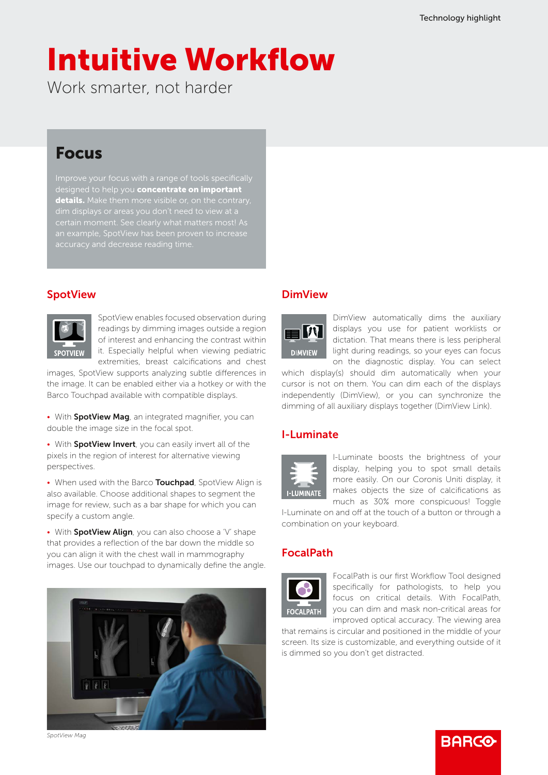# Intuitive Workflow

Work smarter, not harder

### Focus

Improve your focus with a range of tools specifically signed to help you **concentrate on important** details. Make them more visible or, on the contrary,

### **SpotView**



SpotView enables focused observation during readings by dimming images outside a region of interest and enhancing the contrast within it. Especially helpful when viewing pediatric extremities, breast calcifications and chest

images, SpotView supports analyzing subtle differences in the image. It can be enabled either via a hotkey or with the Barco Touchpad available with compatible displays.

• With SpotView Mag, an integrated magnifier, you can double the image size in the focal spot.

• With SpotView Invert, you can easily invert all of the pixels in the region of interest for alternative viewing perspectives.

• When used with the Barco Touchpad, SpotView Align is also available. Choose additional shapes to segment the image for review, such as a bar shape for which you can specify a custom angle.

• With **SpotView Align**, you can also choose a 'V' shape that provides a reflection of the bar down the middle so you can align it with the chest wall in mammography images. Use our touchpad to dynamically define the angle.



#### **DimView**



DimView automatically dims the auxiliary displays you use for patient worklists or dictation. That means there is less peripheral light during readings, so your eyes can focus on the diagnostic display. You can select

which display(s) should dim automatically when your cursor is not on them. You can dim each of the displays independently (DimView), or you can synchronize the dimming of all auxiliary displays together (DimView Link).

#### I-Luminate



I-Luminate boosts the brightness of your display, helping you to spot small details more easily. On our Coronis Uniti display, it makes objects the size of calcifications as much as 30% more conspicuous! Toggle

I-Luminate on and off at the touch of a button or through a combination on your keyboard.

#### FocalPath



FocalPath is our first Workflow Tool designed specifically for pathologists, to help you focus on critical details. With FocalPath, you can dim and mask non-critical areas for improved optical accuracy. The viewing area

**RARGO** 

that remains is circular and positioned in the middle of your screen. Its size is customizable, and everything outside of it is dimmed so you don't get distracted.

*SpotView Mag*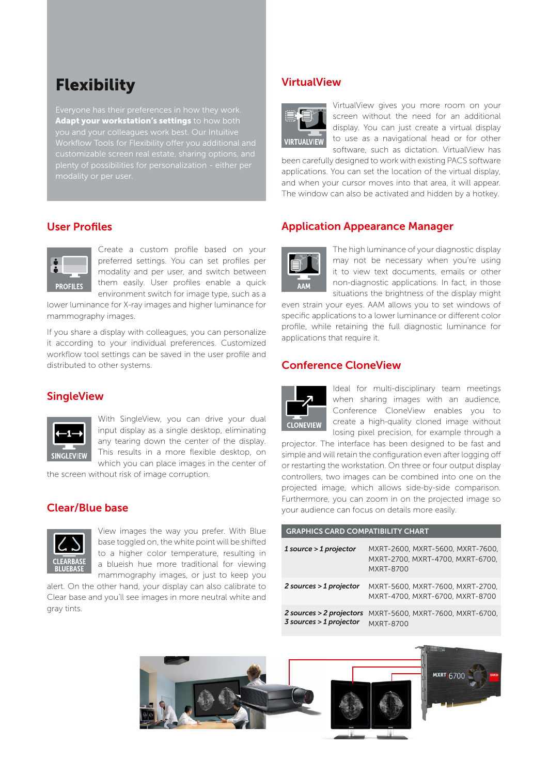### **Flexibility**

Adapt your workstation's settings to how both you and your colleagues work best. Our Intuitive

#### User Profiles



Create a custom profile based on your preferred settings. You can set profiles per modality and per user, and switch between them easily. User profiles enable a quick environment switch for image type, such as a

lower luminance for X-ray images and higher luminance for mammography images.

If you share a display with colleagues, you can personalize it according to your individual preferences. Customized workflow tool settings can be saved in the user profile and distributed to other systems.

#### **SingleView**



With SingleView, you can drive your dual input display as a single desktop, eliminating any tearing down the center of the display. This results in a more flexible desktop, on which you can place images in the center of

the screen without risk of image corruption.

#### Clear/Blue base



View images the way you prefer. With Blue base toggled on, the white point will be shifted to a higher color temperature, resulting in a blueish hue more traditional for viewing mammography images, or just to keep you

alert. On the other hand, your display can also calibrate to Clear base and you'll see images in more neutral white and gray tints. We zouden twee monitorsends opzetten:

#### VirtualView



VirtualView gives you more room on your screen without the need for an additional display. You can just create a virtual display to use as a navigational head or for other software, such as dictation. VirtualView has

been carefully designed to work with existing PACS software applications. You can set the location of the virtual display, and when your cursor moves into that area, it will appear. The window can also be activated and hidden by a hotkey.

#### Application Appearance Manager



The high luminance of your diagnostic display may not be necessary when you're using it to view text documents, emails or other non-diagnostic applications. In fact, in those situations the brightness of the display might

even strain your eyes. AAM allows you to set windows of specific applications to a lower luminance or different color profile, while retaining the full diagnostic luminance for applications that require it.

#### Conference CloneView



Ideal for multi-disciplinary team meetings when sharing images with an audience, Conference CloneView enables you to create a high-quality cloned image without losing pixel precision, for example through a

projector. The interface has been designed to be fast and simple and will retain the configuration even after logging off or restarting the workstation. On three or four output display controllers, two images can be combined into one on the projected image, which allows side-by-side comparison. Furthermore, you can zoom in on the projected image so your audience can focus on details more easily.

| <b>GRAFFILS CARD COMPATIBILIT CHART</b> |                                                                                   |  |  |  |  |  |  |  |  |  |
|-----------------------------------------|-----------------------------------------------------------------------------------|--|--|--|--|--|--|--|--|--|
| $1$ source $>1$ projector               | MXRT-2600, MXRT-5600, MXRT-7600,<br>MXRT-2700, MXRT-4700, MXRT-6700,<br>MXRT-8700 |  |  |  |  |  |  |  |  |  |
|                                         | $2$ sources > 1 projector $MXRT-5600$ , $MXRT-7600$ , $MXRT-2700$ ,               |  |  |  |  |  |  |  |  |  |

GRAPHICS CARD COMPATIBILITY CHART

**2 sources > 2 projectors** MXRT-5600, MXRT-7600, MXRT-6700, *3 sources > 1 projector* MXRT-8700

MXRT-4700, MXRT-6700, MXRT-8700

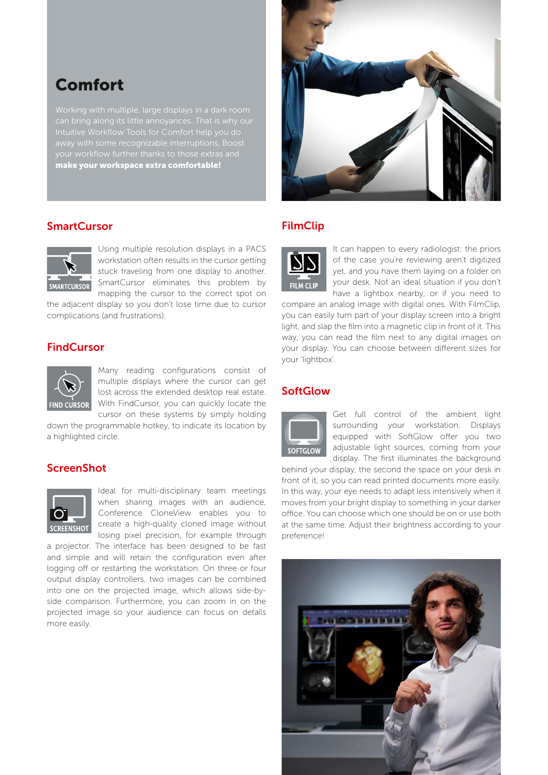### Comfort

Intuitive Workflow Tools for Comfort help you do away with some recognizable interruptions. Boost your workflow further thanks to those extras and make your workspace extra comfortable!



#### **SmartCursor**



Using multiple resolution displays in a PACS workstation often results in the cursor getting stuck traveling from one display to another. SmartCursor eliminates this problem by mapping the cursor to the correct spot on

the adjacent display so you don't lose time due to cursor complications (and frustrations).

#### **FindCursor**



Many reading configurations consist of multiple displays where the cursor can get lost across the extended desktop real estate. With FindCursor, you can quickly locate the cursor on these systems by simply holding

down the programmable hotkey, to indicate its location by a highlighted circle.

#### **ScreenShot**



Ideal for multi-disciplinary team meetings when sharing images with an audience, Conference CloneView enables you to create a high-quality cloned image without losing pixel precision, for example through

a projector. The interface has been designed to be fast and simple and will retain the configuration even after logging off or restarting the workstation. On three or four output display controllers, two images can be combined into one on the projected image, which allows side-byside comparison. Furthermore, you can zoom in on the projected image so your audience can focus on details more easily.

#### FilmClip



It can happen to every radiologist: the priors of the case you're reviewing aren't digitized yet, and you have them laying on a folder on your desk. Not an ideal situation if you don't have a lightbox nearby, or if you need to

compare an analog image with digital ones. With FilmClip, you can easily turn part of your display screen into a bright light, and slap the film into a magnetic clip in front of it. This way, you can read the film next to any digital images on your display. You can choose between different sizes for your 'lightbox'.

#### **SoftGlow**



Get full control of the ambient light surrounding your workstation. Displays equipped with SoftGlow offer you two adjustable light sources, coming from your display. The first illuminates the background

behind your display, the second the space on your desk in front of it, so you can read printed documents more easily. In this way, your eye needs to adapt less intensively when it moves from your bright display to something in your darker office. You can choose which one should be on or use both at the same time. Adjust their brightness according to your preference!